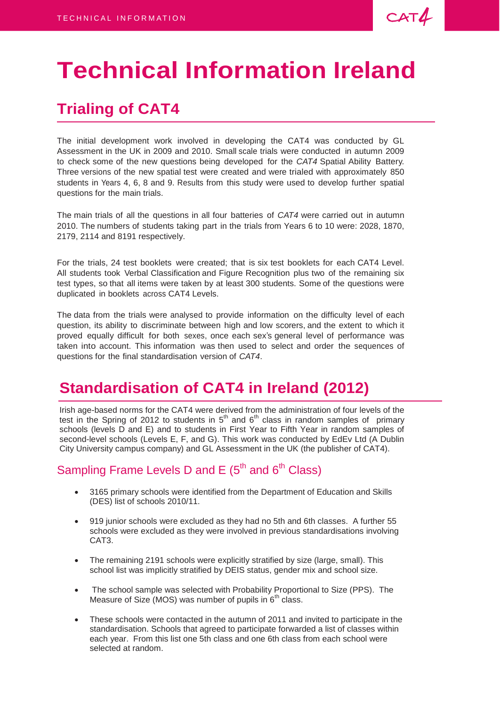$CAT4$ 

# **Technical Information Ireland**

# **Trialing of CAT4**

The initial development work involved in developing the CAT4 was conducted by GL Assessment in the UK in 2009 and 2010. Small scale trials were conducted in autumn 2009 to check some of the new questions being developed for the *CAT4* Spatial Ability Battery. Three versions of the new spatial test were created and were trialed with approximately 850 students in Years 4, 6, 8 and 9. Results from this study were used to develop further spatial questions for the main trials.

The main trials of all the questions in all four batteries of *CAT4* were carried out in autumn 2010. The numbers of students taking part in the trials from Years 6 to 10 were: 2028, 1870, 2179, 2114 and 8191 respectively.

For the trials, 24 test booklets were created; that is six test booklets for each CAT4 Level. All students took Verbal Classification and Figure Recognition plus two of the remaining six test types, so that all items were taken by at least 300 students. Some of the questions were duplicated in booklets across CAT4 Levels.

The data from the trials were analysed to provide information on the difficulty level of each question, its ability to discriminate between high and low scorers, and the extent to which it proved equally difficult for both sexes, once each sex's general level of performance was taken into account. This information was then used to select and order the sequences of questions for the final standardisation version of *CAT4*.

## **Standardisation of CAT4 in Ireland (2012)**

Irish age-based norms for the CAT4 were derived from the administration of four levels of the test in the Spring of 2012 to students in  $5<sup>th</sup>$  and  $6<sup>th</sup>$  class in random samples of primary schools (levels D and E) and to students in First Year to Fifth Year in random samples of second-level schools (Levels E, F, and G). This work was conducted by EdEv Ltd (A Dublin City University campus company) and GL Assessment in the UK (the publisher of CAT4).

## Sampling Frame Levels D and  $E(5<sup>th</sup>$  and  $6<sup>th</sup>$  Class)

- 3165 primary schools were identified from the Department of Education and Skills (DES) list of schools 2010/11.
- 919 junior schools were excluded as they had no 5th and 6th classes. A further 55 schools were excluded as they were involved in previous standardisations involving CAT3.
- The remaining 2191 schools were explicitly stratified by size (large, small). This school list was implicitly stratified by DEIS status, gender mix and school size.
- The school sample was selected with Probability Proportional to Size (PPS). The Measure of Size (MOS) was number of pupils in  $6<sup>th</sup>$  class.
- These schools were contacted in the autumn of 2011 and invited to participate in the standardisation. Schools that agreed to participate forwarded a list of classes within each year. From this list one 5th class and one 6th class from each school were selected at random.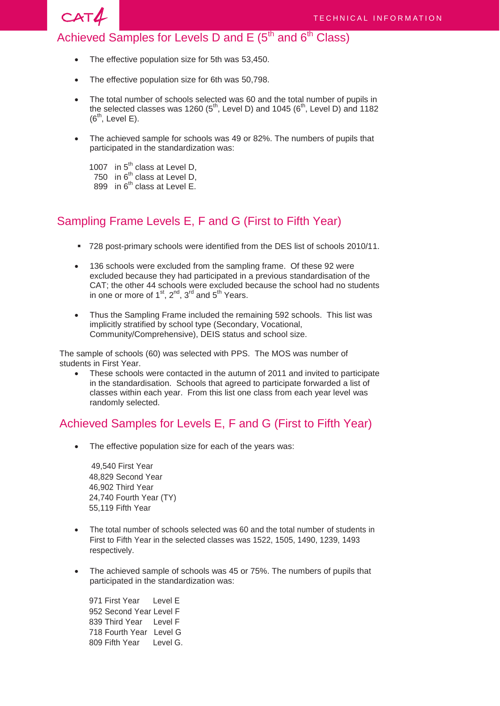

### Achieved Samples for Levels D and E  $(5<sup>th</sup>$  and  $6<sup>th</sup>$  Class)

- The effective population size for 5th was 53,450.
- The effective population size for 6th was 50,798.
- The total number of schools selected was 60 and the total number of pupils in the selected classes was 1260 ( $5^{th}$ , Level D) and 1045 ( $6^{th}$ , Level D) and 1182  $(6<sup>th</sup>, Level E).$
- The achieved sample for schools was 49 or 82%. The numbers of pupils that participated in the standardization was:
	- 1007 in  $5^{\text{th}}$  class at Level D, 750 in  $6^{th}$  class at Level D, 899 in  $6<sup>th</sup>$  class at Level E.

#### Sampling Frame Levels E, F and G (First to Fifth Year)

- 728 post-primary schools were identified from the DES list of schools 2010/11.
- 136 schools were excluded from the sampling frame. Of these 92 were excluded because they had participated in a previous standardisation of the CAT; the other 44 schools were excluded because the school had no students in one or more of  $1<sup>st</sup>$ ,  $2<sup>nd</sup>$ ,  $3<sup>rd</sup>$  and  $5<sup>th</sup>$  Years.
- Thus the Sampling Frame included the remaining 592 schools. This list was implicitly stratified by school type (Secondary, Vocational, Community/Comprehensive), DEIS status and school size.

The sample of schools (60) was selected with PPS. The MOS was number of students in First Year.

 These schools were contacted in the autumn of 2011 and invited to participate in the standardisation. Schools that agreed to participate forwarded a list of classes within each year. From this list one class from each year level was randomly selected.

#### Achieved Samples for Levels E, F and G (First to Fifth Year)

The effective population size for each of the years was:

49,540 First Year 48,829 Second Year 46,902 Third Year 24,740 Fourth Year (TY) 55,119 Fifth Year

- The total number of schools selected was 60 and the total number of students in First to Fifth Year in the selected classes was 1522, 1505, 1490, 1239, 1493 respectively.
- The achieved sample of schools was 45 or 75%. The numbers of pupils that participated in the standardization was:

971 First Year Level E 952 Second Year Level F 839 Third Year Level F 718 Fourth Year Level G 809 Fifth Year Level G.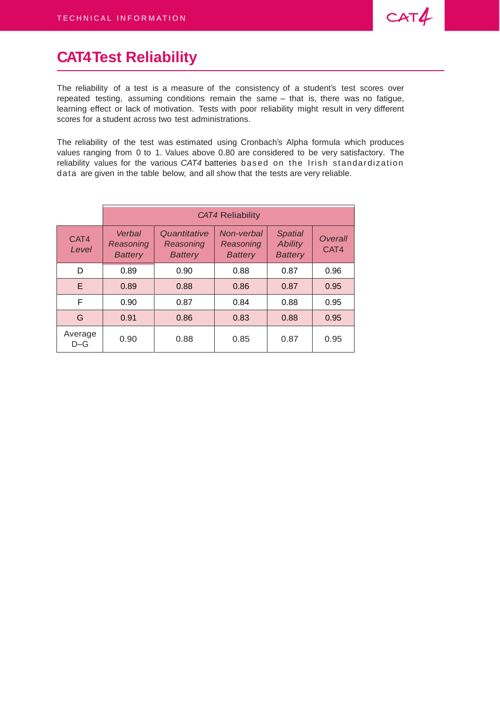

# **CAT4 Test Reliability**

The reliability of a test is a measure of the consistency of a student's test scores over repeated testing, assuming conditions remain the same – that is, there was no fatigue, learning effect or lack of motivation. Tests with poor reliability might result in very different scores for a student across two test administrations.

The reliability of the test was estimated using Cronbach's Alpha formula which produces values ranging from 0 to 1. Values above 0.80 are considered to be very satisfactory. The reliability values for the various *CAT4* batteries based on the Irish standardization data are given in the table below, and all show that the tests are very reliable.

|                  | <b>CAT4 Reliability</b>               |                                             |                                           |                                                    |                 |  |
|------------------|---------------------------------------|---------------------------------------------|-------------------------------------------|----------------------------------------------------|-----------------|--|
| CAT4<br>Level    | Verbal<br>Reasoning<br><b>Battery</b> | Quantitative<br>Reasoning<br><b>Battery</b> | Non-verbal<br>Reasoning<br><b>Battery</b> | <b>Spatial</b><br><b>Ability</b><br><b>Battery</b> | Overall<br>CAT4 |  |
| D                | 0.89                                  | 0.90                                        | 0.88                                      | 0.87                                               | 0.96            |  |
| E                | 0.89                                  | 0.88                                        | 0.86                                      | 0.87                                               | 0.95            |  |
| F                | 0.90                                  | 0.87                                        | 0.84                                      | 0.88                                               | 0.95            |  |
| G                | 0.91                                  | 0.86                                        | 0.83                                      | 0.88                                               | 0.95            |  |
| Average<br>$D-G$ | 0.90                                  | 0.88                                        | 0.85                                      | 0.87                                               | 0.95            |  |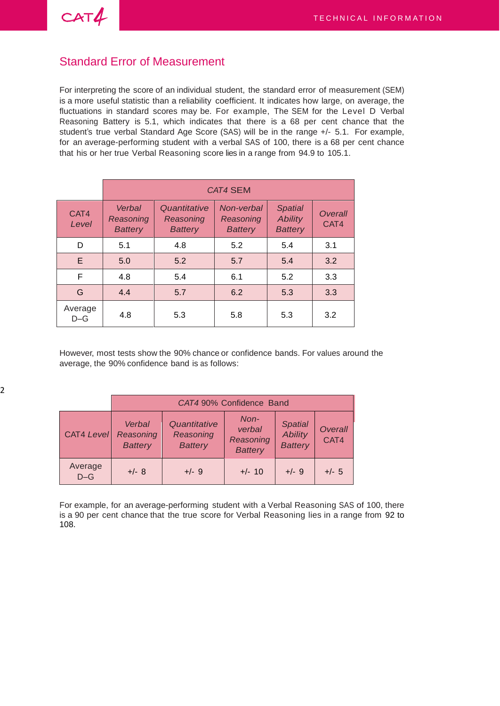$CAT4$ 

#### Standard Error of Measurement

For interpreting the score of an individual student, the standard error of measurement (SEM) is a more useful statistic than a reliability coefficient. It indicates how large, on average, the fluctuations in standard scores may be. For example, The SEM for the Level D Verbal Reasoning Battery is 5.1, which indicates that there is a 68 per cent chance that the student's true verbal Standard Age Score (SAS) will be in the range +/- 5.1. For example, for an average-performing student with a verbal SAS of 100, there is a 68 per cent chance that his or her true Verbal Reasoning score lies in a range from 94.9 to 105.1.

|                  | <b>CAT4 SEM</b>                       |                                             |                                           |                                                    |                        |  |
|------------------|---------------------------------------|---------------------------------------------|-------------------------------------------|----------------------------------------------------|------------------------|--|
| CAT4<br>Level    | Verbal<br>Reasoning<br><b>Battery</b> | Quantitative<br>Reasoning<br><b>Battery</b> | Non-verbal<br>Reasoning<br><b>Battery</b> | <b>Spatial</b><br><b>Ability</b><br><b>Battery</b> | <b>Overall</b><br>CAT4 |  |
| D                | 5.1                                   | 4.8                                         | 5.2                                       | 5.4                                                | 3.1                    |  |
| E.               | 5.0                                   | 5.2                                         | 5.7                                       | 5.4                                                | 3.2                    |  |
| F                | 4.8                                   | 5.4                                         | 6.1                                       | 5.2                                                | 3.3                    |  |
| G                | 4.4                                   | 5.7                                         | 6.2                                       | 5.3                                                | 3.3                    |  |
| Average<br>$D-G$ | 4.8                                   | 5.3                                         | 5.8                                       | 5.3                                                | 3.2                    |  |

However, most tests show the 90% chance or confidence bands. For values around the average, the 90% confidence band is as follows:

|                   | CAT4 90% Confidence Band                                                             |         |                                               |                                                    |                 |  |
|-------------------|--------------------------------------------------------------------------------------|---------|-----------------------------------------------|----------------------------------------------------|-----------------|--|
| <b>CAT4 Level</b> | Quantitative<br>Verbal<br>Reasoning<br>Reasoning<br><b>Battery</b><br><b>Battery</b> |         | Non-<br>verbal<br>Reasoning<br><b>Battery</b> | <b>Spatial</b><br><b>Ability</b><br><b>Battery</b> | Overall<br>CAT4 |  |
| Average<br>$D-G$  | $+/-$ 8                                                                              | $+/-$ 9 | $+/- 10$                                      | $+/-$ 9                                            | $+/- 5$         |  |

For example, for an average-performing student with a Verbal Reasoning SAS of 100, there is a 90 per cent chance that the true score for Verbal Reasoning lies in a range from 92 to 108.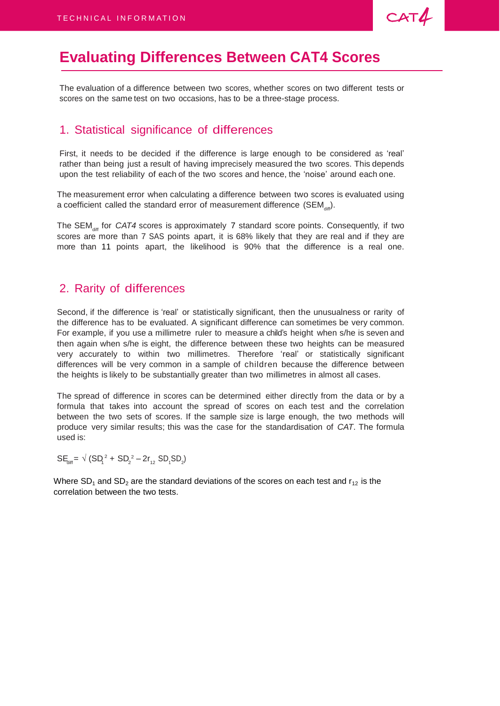

## **Evaluating Differences Between CAT4 Scores**

The evaluation of a difference between two scores, whether scores on two different tests or scores on the same test on two occasions, has to be a three-stage process.

#### 1. Statistical significance of differences

First, it needs to be decided if the difference is large enough to be considered as 'real' rather than being just a result of having imprecisely measured the two scores. This depends upon the test reliability of each of the two scores and hence, the 'noise' around each one.

The measurement error when calculating a difference between two scores is evaluated using a coefficient called the standard error of measurement difference (SEM $_{\textrm{\tiny{diff}}}).$ 

The SEM<sub>diff</sub> for *CAT4* scores is approximately 7 standard score points. Consequently, if two scores are more than 7 SAS points apart, it is 68% likely that they are real and if they are more than 11 points apart, the likelihood is 90% that the difference is a real one.

#### 2. Rarity of differences

Second, if the difference is 'real' or statistically significant, then the unusualness or rarity of the difference has to be evaluated. A significant difference can sometimes be very common. For example, if you use a millimetre ruler to measure a child's height when s/he is seven and then again when s/he is eight, the difference between these two heights can be measured very accurately to within two millimetres. Therefore 'real' or statistically significant differences will be very common in a sample of children because the difference between the heights is likely to be substantially greater than two millimetres in almost all cases.

The spread of difference in scores can be determined either directly from the data or by a formula that takes into account the spread of scores on each test and the correlation between the two sets of scores. If the sample size is large enough, the two methods will produce very similar results; this was the case for the standardisation of *CAT*. The formula used is:

 $SE_{diff} = \sqrt{(SD_1^2 + SD_2^2 - 2r_{12} \ SD_1 SD_2)}$ 

Where  $SD_1$  and  $SD_2$  are the standard deviations of the scores on each test and  $r_{12}$  is the correlation between the two tests.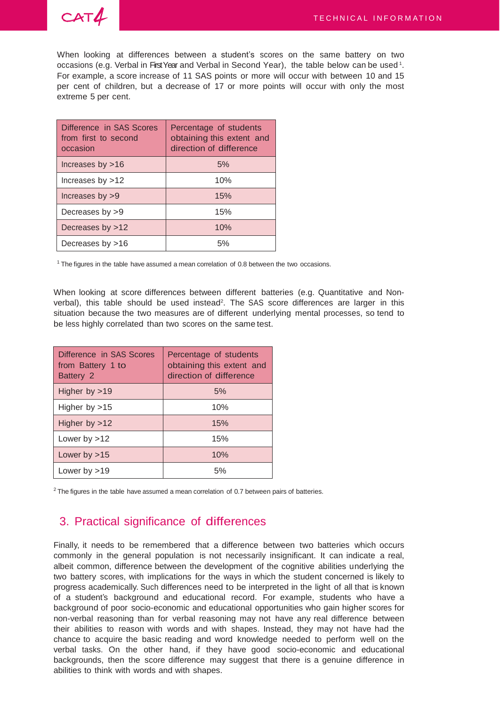



When looking at differences between a student's scores on the same battery on two occasions (e.g. Verbal in First Year and Verbal in Second Year), the table below can be used  $^{\rm 1}$ . For example, a score increase of 11 SAS points or more will occur with between 10 and 15 per cent of children, but a decrease of 17 or more points will occur with only the most extreme 5 per cent.

| Difference in SAS Scores<br>from first to second<br>occasion | Percentage of students<br>obtaining this extent and<br>direction of difference |
|--------------------------------------------------------------|--------------------------------------------------------------------------------|
| Increases by $>16$                                           | 5%                                                                             |
| Increases by $>12$                                           | 10%                                                                            |
| Increases by $>9$                                            | 15%                                                                            |
| Decreases by $>9$                                            | 15%                                                                            |
| Decreases by >12                                             | 10%                                                                            |
| Decreases by >16                                             | 5%                                                                             |

 $1$  The figures in the table have assumed a mean correlation of 0.8 between the two occasions.

When looking at score differences between different batteries (e.g. Quantitative and Nonverbal), this table should be used instead<sup>2</sup>. The SAS score differences are larger in this situation because the two measures are of different underlying mental processes, so tend to be less highly correlated than two scores on the same test.

| Difference in SAS Scores<br>from Battery 1 to<br>Battery 2 | Percentage of students<br>obtaining this extent and<br>direction of difference |  |  |  |
|------------------------------------------------------------|--------------------------------------------------------------------------------|--|--|--|
| Higher by $>19$                                            | 5%                                                                             |  |  |  |
| Higher by $>15$                                            | 10%                                                                            |  |  |  |
| Higher by $>12$                                            | 15%                                                                            |  |  |  |
| Lower by $>12$                                             | 15%                                                                            |  |  |  |
| Lower by $>15$                                             | 10%                                                                            |  |  |  |
| Lower by $>19$                                             | 5%                                                                             |  |  |  |

 $2$  The figures in the table have assumed a mean correlation of 0.7 between pairs of batteries.

#### 3. Practical significance of differences

Finally, it needs to be remembered that a difference between two batteries which occurs commonly in the general population is not necessarily insignificant. It can indicate a real, albeit common, difference between the development of the cognitive abilities underlying the two battery scores, with implications for the ways in which the student concerned is likely to progress academically. Such differences need to be interpreted in the light of all that is known of a student's background and educational record. For example, students who have a background of poor socio-economic and educational opportunities who gain higher scores for non-verbal reasoning than for verbal reasoning may not have any real difference between their abilities to reason with words and with shapes. Instead, they may not have had the chance to acquire the basic reading and word knowledge needed to perform well on the verbal tasks. On the other hand, if they have good socio-economic and educational backgrounds, then the score difference may suggest that there is a genuine difference in abilities to think with words and with shapes.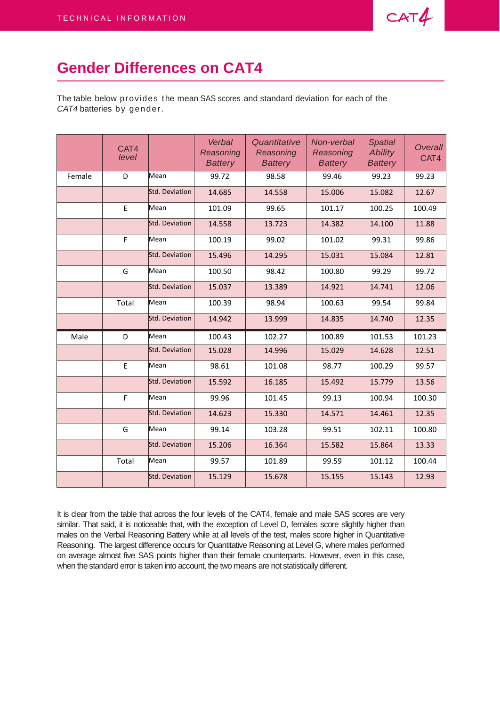

## **Gender Differences on CAT4**

The table below provides the mean SAS scores and standard deviation for each of the *CAT4* batteries by gender.

|        | CAT4<br>level |                | Verbal<br>Reasoning<br><b>Battery</b> | Quantitative<br>Reasoning<br><b>Battery</b> | Non-verbal<br>Reasoning<br><b>Battery</b> | <b>Spatial</b><br><b>Ability</b><br><b>Battery</b> | <b>Overall</b><br>CAT4 |
|--------|---------------|----------------|---------------------------------------|---------------------------------------------|-------------------------------------------|----------------------------------------------------|------------------------|
| Female | D             | Mean           | 99.72                                 | 98.58                                       | 99.46                                     | 99.23                                              | 99.23                  |
|        |               | Std. Deviation | 14.685                                | 14.558                                      | 15.006                                    | 15.082                                             | 12.67                  |
|        | E             | Mean           | 101.09                                | 99.65                                       | 101.17                                    | 100.25                                             | 100.49                 |
|        |               | Std. Deviation | 14.558                                | 13.723                                      | 14.382                                    | 14.100                                             | 11.88                  |
|        | F             | Mean           | 100.19                                | 99.02                                       | 101.02                                    | 99.31                                              | 99.86                  |
|        |               | Std. Deviation | 15.496                                | 14.295                                      | 15.031                                    | 15.084                                             | 12.81                  |
|        | G             | Mean           | 100.50                                | 98.42                                       | 100.80                                    | 99.29                                              | 99.72                  |
|        |               | Std. Deviation | 15.037                                | 13.389                                      | 14.921                                    | 14.741                                             | 12.06                  |
|        | Total         | Mean           | 100.39                                | 98.94                                       | 100.63                                    | 99.54                                              | 99.84                  |
|        |               | Std. Deviation | 14.942                                | 13.999                                      | 14.835                                    | 14.740                                             | 12.35                  |
| Male   | D             | Mean           | 100.43                                | 102.27                                      | 100.89                                    | 101.53                                             | 101.23                 |
|        |               | Std. Deviation | 15.028                                | 14.996                                      | 15.029                                    | 14.628                                             | 12.51                  |
|        | $\mathsf E$   | Mean           | 98.61                                 | 101.08                                      | 98.77                                     | 100.29                                             | 99.57                  |
|        |               | Std. Deviation | 15.592                                | 16.185                                      | 15.492                                    | 15.779                                             | 13.56                  |
|        | F             | Mean           | 99.96                                 | 101.45                                      | 99.13                                     | 100.94                                             | 100.30                 |
|        |               | Std. Deviation | 14.623                                | 15.330                                      | 14.571                                    | 14.461                                             | 12.35                  |
|        | G             | Mean           | 99.14                                 | 103.28                                      | 99.51                                     | 102.11                                             | 100.80                 |
|        |               | Std. Deviation | 15.206                                | 16.364                                      | 15.582                                    | 15.864                                             | 13.33                  |
|        | Total         | Mean           | 99.57                                 | 101.89                                      | 99.59                                     | 101.12                                             | 100.44                 |
|        |               | Std. Deviation | 15.129                                | 15.678                                      | 15.155                                    | 15.143                                             | 12.93                  |

It is clear from the table that across the four levels of the CAT4, female and male SAS scores are very similar. That said, it is noticeable that, with the exception of Level D, females score slightly higher than males on the Verbal Reasoning Battery while at all levels of the test, males score higher in Quantitative Reasoning. The largest difference occurs for Quantitative Reasoning at Level G, where males performed on average almost five SAS points higher than their female counterparts. However, even in this case, when the standard error is taken into account, the two means are not statistically different.